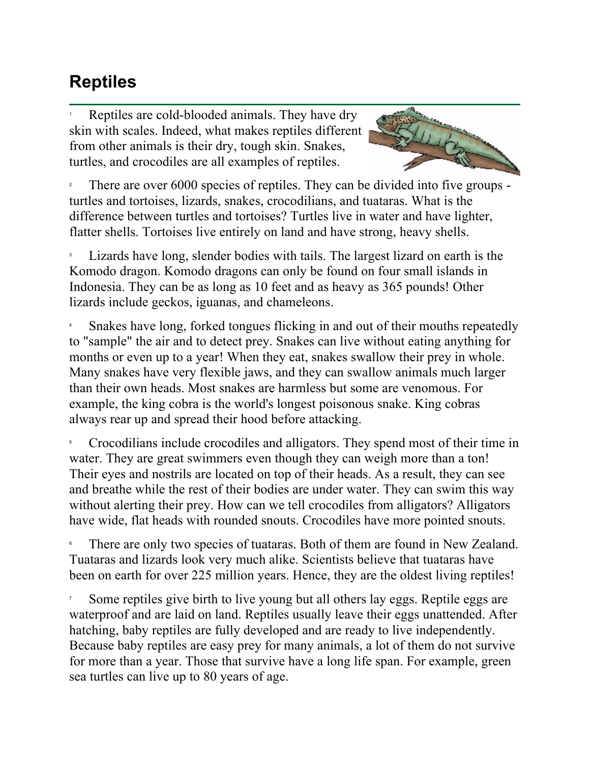## **Reptiles**

1 Reptiles are cold-blooded animals. They have dry skin with scales. Indeed, what makes reptiles different from other animals is their dry, tough skin. Snakes, turtles, and crocodiles are all examples of reptiles.



2 There are over 6000 species of reptiles. They can be divided into five groups turtles and tortoises, lizards, snakes, crocodilians, and tuataras. What is the difference between turtles and tortoises? Turtles live in water and have lighter, flatter shells. Tortoises live entirely on land and have strong, heavy shells.

3 Lizards have long, slender bodies with tails. The largest lizard on earth is the Komodo dragon. Komodo dragons can only be found on four small islands in Indonesia. They can be as long as 10 feet and as heavy as 365 pounds! Other lizards include geckos, iguanas, and chameleons.

4 Snakes have long, forked tongues flicking in and out of their mouths repeatedly to "sample" the air and to detect prey. Snakes can live without eating anything for months or even up to a year! When they eat, snakes swallow their prey in whole. Many snakes have very flexible jaws, and they can swallow animals much larger than their own heads. Most snakes are harmless but some are venomous. For example, the king cobra is the world's longest poisonous snake. King cobras always rear up and spread their hood before attacking.

5 Crocodilians include crocodiles and alligators. They spend most of their time in water. They are great swimmers even though they can weigh more than a ton! Their eyes and nostrils are located on top of their heads. As a result, they can see and breathe while the rest of their bodies are under water. They can swim this way without alerting their prey. How can we tell crocodiles from alligators? Alligators have wide, flat heads with rounded snouts. Crocodiles have more pointed snouts.

6 There are only two species of tuataras. Both of them are found in New Zealand. Tuataras and lizards look very much alike. Scientists believe that tuataras have been on earth for over 225 million years. Hence, they are the oldest living reptiles!

7 Some reptiles give birth to live young but all others lay eggs. Reptile eggs are waterproof and are laid on land. Reptiles usually leave their eggs unattended. After hatching, baby reptiles are fully developed and are ready to live independently. Because baby reptiles are easy prey for many animals, a lot of them do not survive for more than a year. Those that survive have a long life span. For example, green sea turtles can live up to 80 years of age.